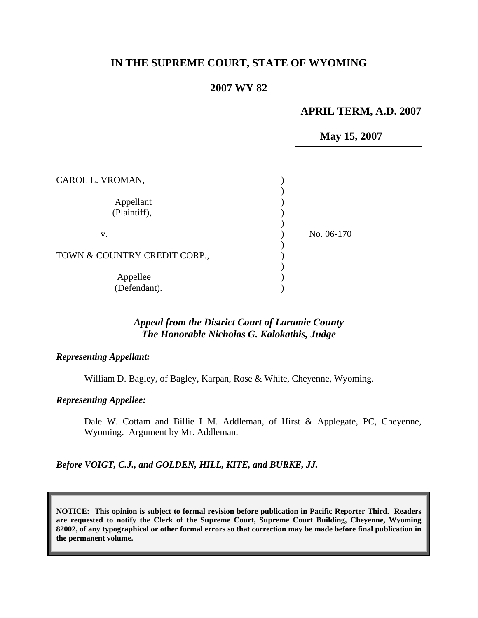# **IN THE SUPREME COURT, STATE OF WYOMING**

### **2007 WY 82**

#### **APRIL TERM, A.D. 2007**

**May 15, 2007** 

| CAROL L. VROMAN,             |            |
|------------------------------|------------|
| Appellant<br>(Plaintiff),    |            |
| V.                           | No. 06-170 |
| TOWN & COUNTRY CREDIT CORP., |            |
| Appellee<br>(Defendant).     |            |

# *Appeal from the District Court of Laramie County The Honorable Nicholas G. Kalokathis, Judge*

*Representing Appellant:* 

William D. Bagley, of Bagley, Karpan, Rose & White, Cheyenne, Wyoming.

*Representing Appellee:* 

Dale W. Cottam and Billie L.M. Addleman, of Hirst & Applegate, PC, Cheyenne, Wyoming. Argument by Mr. Addleman.

*Before VOIGT, C.J., and GOLDEN, HILL, KITE, and BURKE, JJ.* 

**NOTICE: This opinion is subject to formal revision before publication in Pacific Reporter Third. Readers are requested to notify the Clerk of the Supreme Court, Supreme Court Building, Cheyenne, Wyoming 82002, of any typographical or other formal errors so that correction may be made before final publication in the permanent volume.**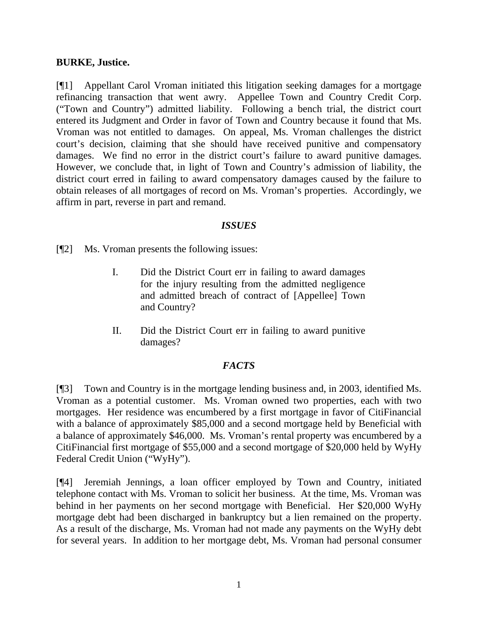#### **BURKE, Justice.**

[¶1] Appellant Carol Vroman initiated this litigation seeking damages for a mortgage refinancing transaction that went awry. Appellee Town and Country Credit Corp. ("Town and Country") admitted liability. Following a bench trial, the district court entered its Judgment and Order in favor of Town and Country because it found that Ms. Vroman was not entitled to damages. On appeal, Ms. Vroman challenges the district court's decision, claiming that she should have received punitive and compensatory damages. We find no error in the district court's failure to award punitive damages. However, we conclude that, in light of Town and Country's admission of liability, the district court erred in failing to award compensatory damages caused by the failure to obtain releases of all mortgages of record on Ms. Vroman's properties. Accordingly, we affirm in part, reverse in part and remand.

### *ISSUES*

[¶2] Ms. Vroman presents the following issues:

- I. Did the District Court err in failing to award damages for the injury resulting from the admitted negligence and admitted breach of contract of [Appellee] Town and Country?
- II. Did the District Court err in failing to award punitive damages?

# *FACTS*

[¶3] Town and Country is in the mortgage lending business and, in 2003, identified Ms. Vroman as a potential customer. Ms. Vroman owned two properties, each with two mortgages. Her residence was encumbered by a first mortgage in favor of CitiFinancial with a balance of approximately \$85,000 and a second mortgage held by Beneficial with a balance of approximately \$46,000. Ms. Vroman's rental property was encumbered by a CitiFinancial first mortgage of \$55,000 and a second mortgage of \$20,000 held by WyHy Federal Credit Union ("WyHy").

[¶4] Jeremiah Jennings, a loan officer employed by Town and Country, initiated telephone contact with Ms. Vroman to solicit her business. At the time, Ms. Vroman was behind in her payments on her second mortgage with Beneficial. Her \$20,000 WyHy mortgage debt had been discharged in bankruptcy but a lien remained on the property. As a result of the discharge, Ms. Vroman had not made any payments on the WyHy debt for several years. In addition to her mortgage debt, Ms. Vroman had personal consumer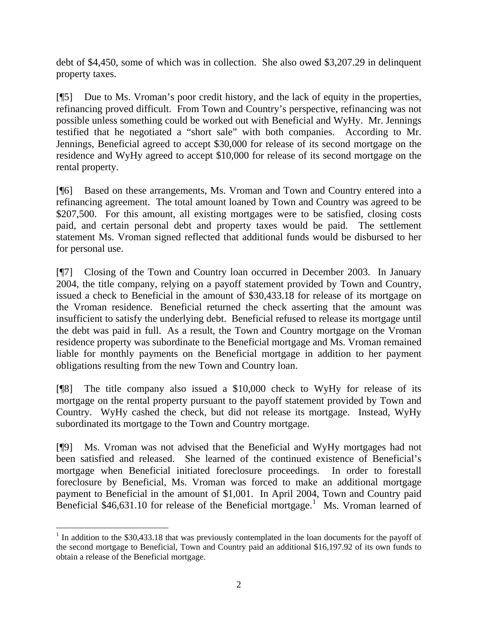debt of \$4,450, some of which was in collection. She also owed \$3,207.29 in delinquent property taxes.

[¶5] Due to Ms. Vroman's poor credit history, and the lack of equity in the properties, refinancing proved difficult. From Town and Country's perspective, refinancing was not possible unless something could be worked out with Beneficial and WyHy. Mr. Jennings testified that he negotiated a "short sale" with both companies. According to Mr. Jennings, Beneficial agreed to accept \$30,000 for release of its second mortgage on the residence and WyHy agreed to accept \$10,000 for release of its second mortgage on the rental property.

[¶6] Based on these arrangements, Ms. Vroman and Town and Country entered into a refinancing agreement. The total amount loaned by Town and Country was agreed to be \$207,500. For this amount, all existing mortgages were to be satisfied, closing costs paid, and certain personal debt and property taxes would be paid. The settlement statement Ms. Vroman signed reflected that additional funds would be disbursed to her for personal use.

[¶7] Closing of the Town and Country loan occurred in December 2003. In January 2004, the title company, relying on a payoff statement provided by Town and Country, issued a check to Beneficial in the amount of \$30,433.18 for release of its mortgage on the Vroman residence. Beneficial returned the check asserting that the amount was insufficient to satisfy the underlying debt. Beneficial refused to release its mortgage until the debt was paid in full. As a result, the Town and Country mortgage on the Vroman residence property was subordinate to the Beneficial mortgage and Ms. Vroman remained liable for monthly payments on the Beneficial mortgage in addition to her payment obligations resulting from the new Town and Country loan.

[¶8] The title company also issued a \$10,000 check to WyHy for release of its mortgage on the rental property pursuant to the payoff statement provided by Town and Country. WyHy cashed the check, but did not release its mortgage. Instead, WyHy subordinated its mortgage to the Town and Country mortgage.

[¶9] Ms. Vroman was not advised that the Beneficial and WyHy mortgages had not been satisfied and released. She learned of the continued existence of Beneficial's mortgage when Beneficial initiated foreclosure proceedings. In order to forestall foreclosure by Beneficial, Ms. Vroman was forced to make an additional mortgage payment to Beneficial in the amount of \$1,001. In April 2004, Town and Country paid Beneficial  $$46,631.10$  $$46,631.10$  $$46,631.10$  for release of the Beneficial mortgage.<sup>1</sup> Ms. Vroman learned of

 $\overline{a}$ 

<span id="page-2-0"></span><sup>&</sup>lt;sup>1</sup> In addition to the \$30,433.18 that was previously contemplated in the loan documents for the payoff of the second mortgage to Beneficial, Town and Country paid an additional \$16,197.92 of its own funds to obtain a release of the Beneficial mortgage.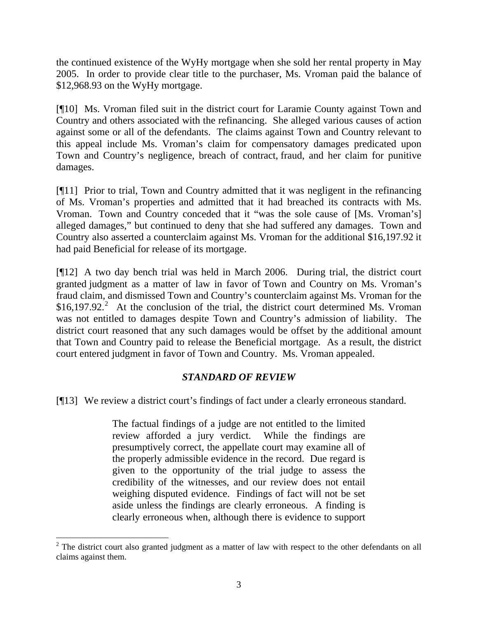the continued existence of the WyHy mortgage when she sold her rental property in May 2005. In order to provide clear title to the purchaser, Ms. Vroman paid the balance of \$12,968.93 on the WyHy mortgage.

[¶10] Ms. Vroman filed suit in the district court for Laramie County against Town and Country and others associated with the refinancing. She alleged various causes of action against some or all of the defendants. The claims against Town and Country relevant to this appeal include Ms. Vroman's claim for compensatory damages predicated upon Town and Country's negligence, breach of contract, fraud, and her claim for punitive damages.

[¶11] Prior to trial, Town and Country admitted that it was negligent in the refinancing of Ms. Vroman's properties and admitted that it had breached its contracts with Ms. Vroman. Town and Country conceded that it "was the sole cause of [Ms. Vroman's] alleged damages," but continued to deny that she had suffered any damages. Town and Country also asserted a counterclaim against Ms. Vroman for the additional \$16,197.92 it had paid Beneficial for release of its mortgage.

[¶12] A two day bench trial was held in March 2006. During trial, the district court granted judgment as a matter of law in favor of Town and Country on Ms. Vroman's fraud claim, and dismissed Town and Country's counterclaim against Ms. Vroman for the  $$16,197.92$  $$16,197.92$ <sup>2</sup> At the conclusion of the trial, the district court determined Ms. Vroman was not entitled to damages despite Town and Country's admission of liability. The district court reasoned that any such damages would be offset by the additional amount that Town and Country paid to release the Beneficial mortgage. As a result, the district court entered judgment in favor of Town and Country. Ms. Vroman appealed.

# *STANDARD OF REVIEW*

[¶13] We review a district court's findings of fact under a clearly erroneous standard.

The factual findings of a judge are not entitled to the limited review afforded a jury verdict. While the findings are presumptively correct, the appellate court may examine all of the properly admissible evidence in the record. Due regard is given to the opportunity of the trial judge to assess the credibility of the witnesses, and our review does not entail weighing disputed evidence. Findings of fact will not be set aside unless the findings are clearly erroneous. A finding is clearly erroneous when, although there is evidence to support

<span id="page-3-0"></span><sup>&</sup>lt;sup>2</sup> The district court also granted judgment as a matter of law with respect to the other defendants on all claims against them.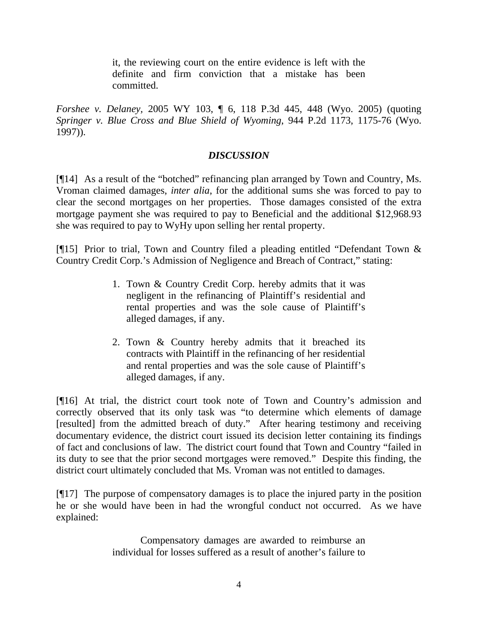it, the reviewing court on the entire evidence is left with the definite and firm conviction that a mistake has been committed.

*Forshee v. Delaney,* 2005 WY 103, ¶ 6, 118 P.3d 445, 448 (Wyo. 2005) (quoting *Springer v. Blue Cross and Blue Shield of Wyoming*, 944 P.2d 1173, 1175-76 (Wyo. 1997)).

# *DISCUSSION*

[¶14] As a result of the "botched" refinancing plan arranged by Town and Country, Ms. Vroman claimed damages, *inter alia*, for the additional sums she was forced to pay to clear the second mortgages on her properties. Those damages consisted of the extra mortgage payment she was required to pay to Beneficial and the additional \$12,968.93 she was required to pay to WyHy upon selling her rental property.

[¶15] Prior to trial, Town and Country filed a pleading entitled "Defendant Town & Country Credit Corp.'s Admission of Negligence and Breach of Contract," stating:

- 1. Town & Country Credit Corp. hereby admits that it was negligent in the refinancing of Plaintiff's residential and rental properties and was the sole cause of Plaintiff's alleged damages, if any.
- 2. Town & Country hereby admits that it breached its contracts with Plaintiff in the refinancing of her residential and rental properties and was the sole cause of Plaintiff's alleged damages, if any.

[¶16] At trial, the district court took note of Town and Country's admission and correctly observed that its only task was "to determine which elements of damage [resulted] from the admitted breach of duty." After hearing testimony and receiving documentary evidence, the district court issued its decision letter containing its findings of fact and conclusions of law. The district court found that Town and Country "failed in its duty to see that the prior second mortgages were removed." Despite this finding, the district court ultimately concluded that Ms. Vroman was not entitled to damages.

[¶17] The purpose of compensatory damages is to place the injured party in the position he or she would have been in had the wrongful conduct not occurred. As we have explained:

> Compensatory damages are awarded to reimburse an individual for losses suffered as a result of another's failure to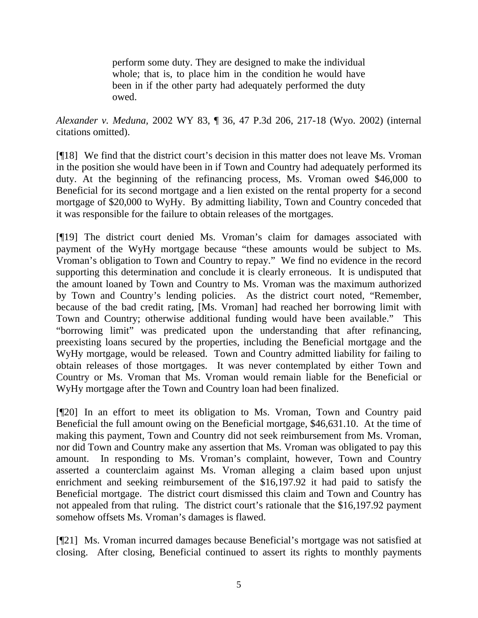perform some duty. They are designed to make the individual whole; that is, to place him in the condition he would have been in if the other party had adequately performed the duty owed.

*Alexander v. Meduna,* 2002 WY 83, ¶ 36, 47 P.3d 206, 217-18 (Wyo. 2002) (internal citations omitted).

[¶18] We find that the district court's decision in this matter does not leave Ms. Vroman in the position she would have been in if Town and Country had adequately performed its duty. At the beginning of the refinancing process, Ms. Vroman owed \$46,000 to Beneficial for its second mortgage and a lien existed on the rental property for a second mortgage of \$20,000 to WyHy. By admitting liability, Town and Country conceded that it was responsible for the failure to obtain releases of the mortgages.

[¶19] The district court denied Ms. Vroman's claim for damages associated with payment of the WyHy mortgage because "these amounts would be subject to Ms. Vroman's obligation to Town and Country to repay." We find no evidence in the record supporting this determination and conclude it is clearly erroneous. It is undisputed that the amount loaned by Town and Country to Ms. Vroman was the maximum authorized by Town and Country's lending policies. As the district court noted, "Remember, because of the bad credit rating, [Ms. Vroman] had reached her borrowing limit with Town and Country; otherwise additional funding would have been available." This "borrowing limit" was predicated upon the understanding that after refinancing, preexisting loans secured by the properties, including the Beneficial mortgage and the WyHy mortgage, would be released. Town and Country admitted liability for failing to obtain releases of those mortgages. It was never contemplated by either Town and Country or Ms. Vroman that Ms. Vroman would remain liable for the Beneficial or WyHy mortgage after the Town and Country loan had been finalized.

[¶20] In an effort to meet its obligation to Ms. Vroman, Town and Country paid Beneficial the full amount owing on the Beneficial mortgage, \$46,631.10. At the time of making this payment, Town and Country did not seek reimbursement from Ms. Vroman, nor did Town and Country make any assertion that Ms. Vroman was obligated to pay this amount. In responding to Ms. Vroman's complaint, however, Town and Country asserted a counterclaim against Ms. Vroman alleging a claim based upon unjust enrichment and seeking reimbursement of the \$16,197.92 it had paid to satisfy the Beneficial mortgage. The district court dismissed this claim and Town and Country has not appealed from that ruling. The district court's rationale that the \$16,197.92 payment somehow offsets Ms. Vroman's damages is flawed.

[¶21] Ms. Vroman incurred damages because Beneficial's mortgage was not satisfied at closing. After closing, Beneficial continued to assert its rights to monthly payments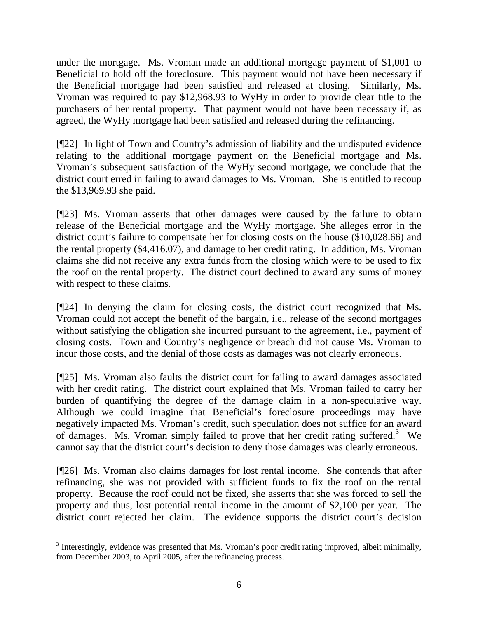under the mortgage. Ms. Vroman made an additional mortgage payment of \$1,001 to Beneficial to hold off the foreclosure. This payment would not have been necessary if the Beneficial mortgage had been satisfied and released at closing. Similarly, Ms. Vroman was required to pay \$12,968.93 to WyHy in order to provide clear title to the purchasers of her rental property. That payment would not have been necessary if, as agreed, the WyHy mortgage had been satisfied and released during the refinancing.

[¶22] In light of Town and Country's admission of liability and the undisputed evidence relating to the additional mortgage payment on the Beneficial mortgage and Ms. Vroman's subsequent satisfaction of the WyHy second mortgage, we conclude that the district court erred in failing to award damages to Ms. Vroman. She is entitled to recoup the \$13,969.93 she paid.

[¶23] Ms. Vroman asserts that other damages were caused by the failure to obtain release of the Beneficial mortgage and the WyHy mortgage. She alleges error in the district court's failure to compensate her for closing costs on the house (\$10,028.66) and the rental property (\$4,416.07), and damage to her credit rating. In addition, Ms. Vroman claims she did not receive any extra funds from the closing which were to be used to fix the roof on the rental property. The district court declined to award any sums of money with respect to these claims.

[¶24] In denying the claim for closing costs, the district court recognized that Ms. Vroman could not accept the benefit of the bargain, i.e., release of the second mortgages without satisfying the obligation she incurred pursuant to the agreement, i.e., payment of closing costs. Town and Country's negligence or breach did not cause Ms. Vroman to incur those costs, and the denial of those costs as damages was not clearly erroneous.

[¶25] Ms. Vroman also faults the district court for failing to award damages associated with her credit rating. The district court explained that Ms. Vroman failed to carry her burden of quantifying the degree of the damage claim in a non-speculative way. Although we could imagine that Beneficial's foreclosure proceedings may have negatively impacted Ms. Vroman's credit, such speculation does not suffice for an award of damages. Ms. Vroman simply failed to prove that her credit rating suffered.<sup>[3](#page-6-0)</sup> We cannot say that the district court's decision to deny those damages was clearly erroneous.

[¶26] Ms. Vroman also claims damages for lost rental income. She contends that after refinancing, she was not provided with sufficient funds to fix the roof on the rental property. Because the roof could not be fixed, she asserts that she was forced to sell the property and thus, lost potential rental income in the amount of \$2,100 per year. The district court rejected her claim. The evidence supports the district court's decision

 $\overline{a}$ 

<span id="page-6-0"></span> $3$  Interestingly, evidence was presented that Ms. Vroman's poor credit rating improved, albeit minimally, from December 2003, to April 2005, after the refinancing process.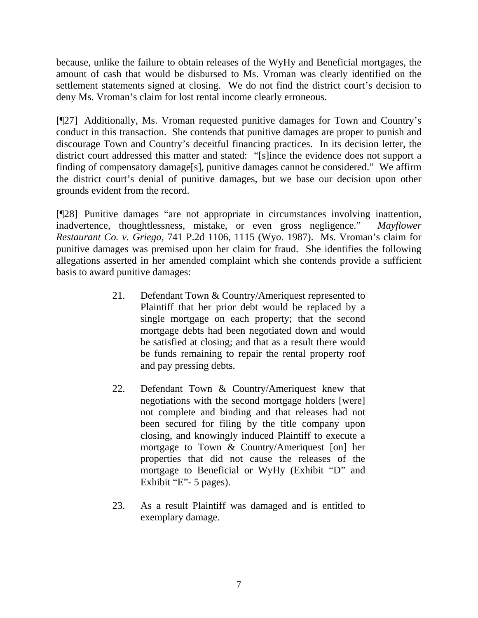because, unlike the failure to obtain releases of the WyHy and Beneficial mortgages, the amount of cash that would be disbursed to Ms. Vroman was clearly identified on the settlement statements signed at closing. We do not find the district court's decision to deny Ms. Vroman's claim for lost rental income clearly erroneous.

[¶27] Additionally, Ms. Vroman requested punitive damages for Town and Country's conduct in this transaction. She contends that punitive damages are proper to punish and discourage Town and Country's deceitful financing practices. In its decision letter, the district court addressed this matter and stated: "[s]ince the evidence does not support a finding of compensatory damage[s], punitive damages cannot be considered." We affirm the district court's denial of punitive damages, but we base our decision upon other grounds evident from the record.

[¶28] Punitive damages "are not appropriate in circumstances involving inattention, inadvertence, thoughtlessness, mistake, or even gross negligence." *Mayflower Restaurant Co. v. Griego*, 741 P.2d 1106, 1115 (Wyo. 1987). Ms. Vroman's claim for punitive damages was premised upon her claim for fraud. She identifies the following allegations asserted in her amended complaint which she contends provide a sufficient basis to award punitive damages:

- 21. Defendant Town & Country/Ameriquest represented to Plaintiff that her prior debt would be replaced by a single mortgage on each property; that the second mortgage debts had been negotiated down and would be satisfied at closing; and that as a result there would be funds remaining to repair the rental property roof and pay pressing debts.
- 22. Defendant Town & Country/Ameriquest knew that negotiations with the second mortgage holders [were] not complete and binding and that releases had not been secured for filing by the title company upon closing, and knowingly induced Plaintiff to execute a mortgage to Town & Country/Ameriquest [on] her properties that did not cause the releases of the mortgage to Beneficial or WyHy (Exhibit "D" and Exhibit "E"- 5 pages).
- 23. As a result Plaintiff was damaged and is entitled to exemplary damage.